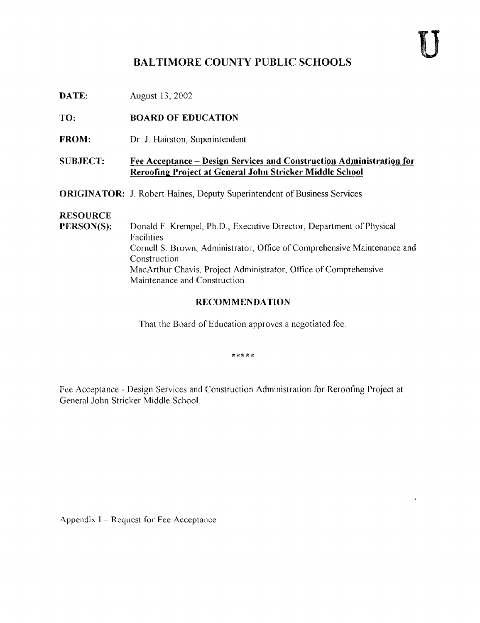## BALTIMORE COUNTY PUBLIC SCHOOLS

**DATE:** August 13, 2002

TO: BOARD OF EDUCATION

FROM: Dr. J. Hairston, Superintendent

#### SUBJECT: Fee Acceptance - Design Services and Construction Administration for Reroofing Project at General John Stricker Middle School

ORIGINATOR: J. Robert Haines, Deputy Superintendent of Business Services

# **RESOURCE**<br>PERSON(S):

Donald F. Krempel, Ph.D., Executive Director, Department of Physical Facilities Cornell S. Brown, Administrator, Office of Comprehensive Maintenance and Construction MacA.rthur Chavis, Project Administrator, Office of Comprehensive Maintenance and Construction

#### RECOMMENDATION

That the Board of Education approves a negotiated fee.

\*\*\*\*\*

Fee Acceptance - Design Services and Construction Administration for Reroofing Project at General John Stricker Middle School .

Appendix I - Request for Fee Acceptance